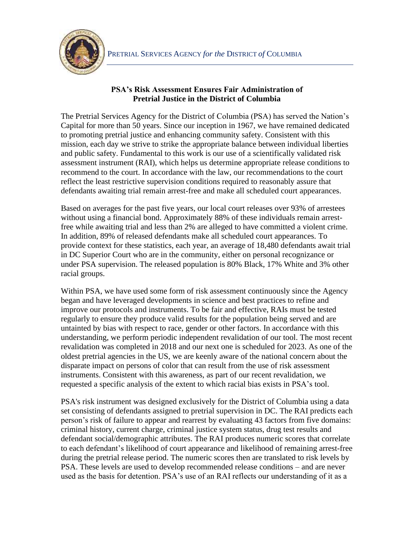

## **PSA's Risk Assessment Ensures Fair Administration of Pretrial Justice in the District of Columbia**

The Pretrial Services Agency for the District of Columbia (PSA) has served the Nation's Capital for more than 50 years. Since our inception in 1967, we have remained dedicated to promoting pretrial justice and enhancing community safety. Consistent with this mission, each day we strive to strike the appropriate balance between individual liberties and public safety. Fundamental to this work is our use of a scientifically validated risk assessment instrument (RAI), which helps us determine appropriate release conditions to recommend to the court. In accordance with the law, our recommendations to the court reflect the least restrictive supervision conditions required to reasonably assure that defendants awaiting trial remain arrest-free and make all scheduled court appearances.

Based on averages for the past five years, our local court releases over 93% of arrestees without using a financial bond. Approximately 88% of these individuals remain arrestfree while awaiting trial and less than 2% are alleged to have committed a violent crime. In addition, 89% of released defendants make all scheduled court appearances. To provide context for these statistics, each year, an average of 18,480 defendants await trial in DC Superior Court who are in the community, either on personal recognizance or under PSA supervision. The released population is 80% Black, 17% White and 3% other racial groups.

Within PSA, we have used some form of risk assessment continuously since the Agency began and have leveraged developments in science and best practices to refine and improve our protocols and instruments. To be fair and effective, RAIs must be tested regularly to ensure they produce valid results for the population being served and are untainted by bias with respect to race, gender or other factors. In accordance with this understanding, we perform periodic independent revalidation of our tool. The most recent revalidation was completed in 2018 and our next one is scheduled for 2023. As one of the oldest pretrial agencies in the US, we are keenly aware of the national concern about the disparate impact on persons of color that can result from the use of risk assessment instruments. Consistent with this awareness, as part of our recent revalidation, we requested a specific analysis of the extent to which racial bias exists in PSA's tool.

PSA's risk instrument was designed exclusively for the District of Columbia using a data set consisting of defendants assigned to pretrial supervision in DC. The RAI predicts each person's risk of failure to appear and rearrest by evaluating 43 factors from five domains: criminal history, current charge, criminal justice system status, drug test results and defendant social/demographic attributes. The RAI produces numeric scores that correlate to each defendant's likelihood of court appearance and likelihood of remaining arrest-free during the pretrial release period. The numeric scores then are translated to risk levels by PSA. These levels are used to develop recommended release conditions – and are never used as the basis for detention. PSA's use of an RAI reflects our understanding of it as a